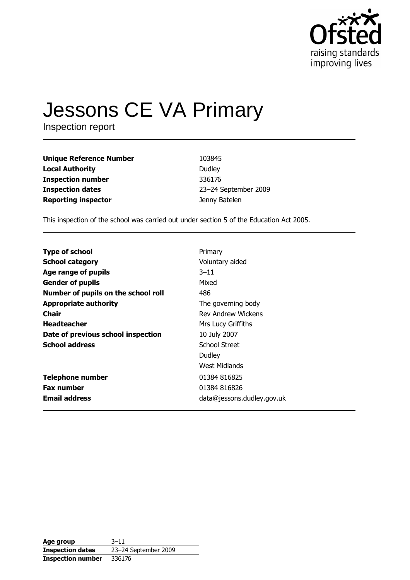

# **Jessons CE VA Primary**

Inspection report

| <b>Unique Reference Number</b> | 103845               |
|--------------------------------|----------------------|
| <b>Local Authority</b>         | Dudley               |
| <b>Inspection number</b>       | 336176               |
| <b>Inspection dates</b>        | 23-24 September 2009 |
| <b>Reporting inspector</b>     | Jenny Batelen        |

This inspection of the school was carried out under section 5 of the Education Act 2005.

| <b>Type of school</b>               | Primary                    |
|-------------------------------------|----------------------------|
| <b>School category</b>              | Voluntary aided            |
| Age range of pupils                 | $3 - 11$                   |
| <b>Gender of pupils</b>             | Mixed                      |
| Number of pupils on the school roll | 486                        |
| <b>Appropriate authority</b>        | The governing body         |
| Chair                               | <b>Rev Andrew Wickens</b>  |
| <b>Headteacher</b>                  | Mrs Lucy Griffiths         |
| Date of previous school inspection  | 10 July 2007               |
| <b>School address</b>               | School Street              |
|                                     | Dudley                     |
|                                     | West Midlands              |
| <b>Telephone number</b>             | 01384 816825               |
| <b>Fax number</b>                   | 01384 816826               |
| <b>Email address</b>                | data@jessons.dudley.gov.uk |

| Age group                | $3 - 11$             |
|--------------------------|----------------------|
| <b>Inspection dates</b>  | 23-24 September 2009 |
| <b>Inspection number</b> | 336176               |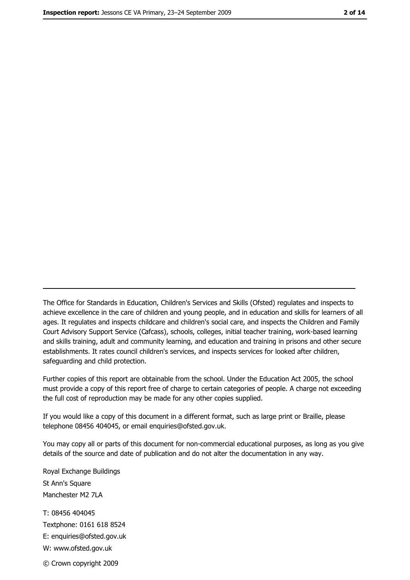The Office for Standards in Education, Children's Services and Skills (Ofsted) regulates and inspects to achieve excellence in the care of children and young people, and in education and skills for learners of all ages. It regulates and inspects childcare and children's social care, and inspects the Children and Family Court Advisory Support Service (Cafcass), schools, colleges, initial teacher training, work-based learning and skills training, adult and community learning, and education and training in prisons and other secure establishments. It rates council children's services, and inspects services for looked after children, safequarding and child protection.

Further copies of this report are obtainable from the school. Under the Education Act 2005, the school must provide a copy of this report free of charge to certain categories of people. A charge not exceeding the full cost of reproduction may be made for any other copies supplied.

If you would like a copy of this document in a different format, such as large print or Braille, please telephone 08456 404045, or email enquiries@ofsted.gov.uk.

You may copy all or parts of this document for non-commercial educational purposes, as long as you give details of the source and date of publication and do not alter the documentation in any way.

Royal Exchange Buildings St Ann's Square Manchester M2 7LA T: 08456 404045 Textphone: 0161 618 8524 E: enquiries@ofsted.gov.uk W: www.ofsted.gov.uk © Crown copyright 2009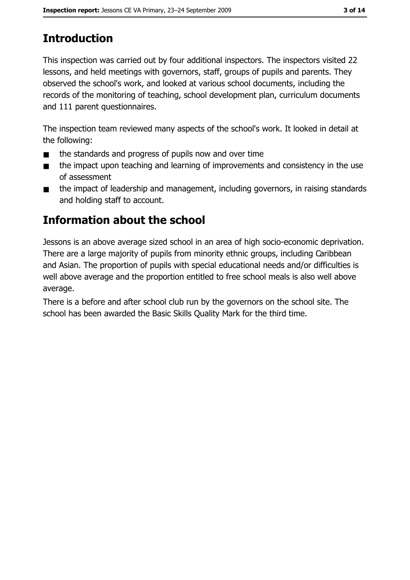# **Introduction**

This inspection was carried out by four additional inspectors. The inspectors visited 22 lessons, and held meetings with governors, staff, groups of pupils and parents. They observed the school's work, and looked at various school documents, including the records of the monitoring of teaching, school development plan, curriculum documents and 111 parent questionnaires.

The inspection team reviewed many aspects of the school's work. It looked in detail at the following:

- the standards and progress of pupils now and over time  $\blacksquare$
- the impact upon teaching and learning of improvements and consistency in the use  $\blacksquare$ of assessment
- the impact of leadership and management, including governors, in raising standards  $\blacksquare$ and holding staff to account.

## Information about the school

Jessons is an above average sized school in an area of high socio-economic deprivation. There are a large majority of pupils from minority ethnic groups, including Caribbean and Asian. The proportion of pupils with special educational needs and/or difficulties is well above average and the proportion entitled to free school meals is also well above average.

There is a before and after school club run by the governors on the school site. The school has been awarded the Basic Skills Quality Mark for the third time.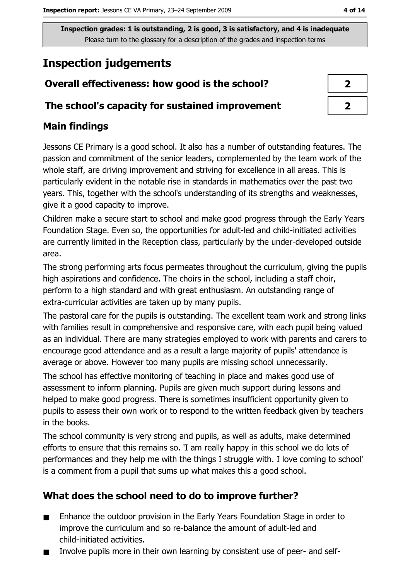## **Inspection judgements**

## Overall effectiveness: how good is the school?

#### The school's capacity for sustained improvement

#### **Main findings**

Jessons CE Primary is a good school. It also has a number of outstanding features. The passion and commitment of the senior leaders, complemented by the team work of the whole staff, are driving improvement and striving for excellence in all areas. This is particularly evident in the notable rise in standards in mathematics over the past two years. This, together with the school's understanding of its strengths and weaknesses, give it a good capacity to improve.

Children make a secure start to school and make good progress through the Early Years Foundation Stage. Even so, the opportunities for adult-led and child-initiated activities are currently limited in the Reception class, particularly by the under-developed outside area.

The strong performing arts focus permeates throughout the curriculum, giving the pupils high aspirations and confidence. The choirs in the school, including a staff choir, perform to a high standard and with great enthusiasm. An outstanding range of extra-curricular activities are taken up by many pupils.

The pastoral care for the pupils is outstanding. The excellent team work and strong links with families result in comprehensive and responsive care, with each pupil being valued as an individual. There are many strategies employed to work with parents and carers to encourage good attendance and as a result a large majority of pupils' attendance is average or above. However too many pupils are missing school unnecessarily.

The school has effective monitoring of teaching in place and makes good use of assessment to inform planning. Pupils are given much support during lessons and helped to make good progress. There is sometimes insufficient opportunity given to pupils to assess their own work or to respond to the written feedback given by teachers in the books.

The school community is very strong and pupils, as well as adults, make determined efforts to ensure that this remains so. 'I am really happy in this school we do lots of performances and they help me with the things I struggle with. I love coming to school' is a comment from a pupil that sums up what makes this a good school.

## What does the school need to do to improve further?

- $\blacksquare$ Enhance the outdoor provision in the Early Years Foundation Stage in order to improve the curriculum and so re-balance the amount of adult-led and child-initiated activities.
- Involve pupils more in their own learning by consistent use of peer- and self- $\blacksquare$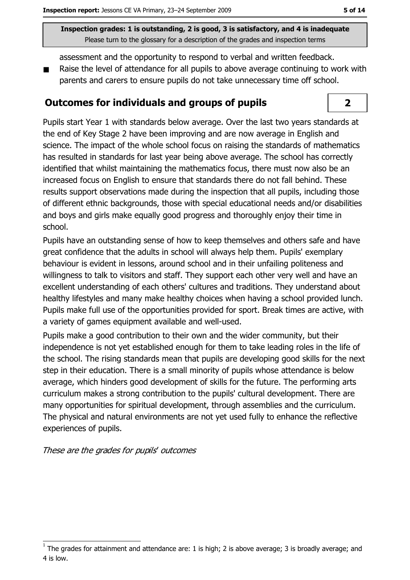assessment and the opportunity to respond to verbal and written feedback.

Raise the level of attendance for all pupils to above average continuing to work with parents and carers to ensure pupils do not take unnecessary time off school.

#### Outcomes for individuals and groups of pupils

Pupils start Year 1 with standards below average. Over the last two years standards at the end of Key Stage 2 have been improving and are now average in English and science. The impact of the whole school focus on raising the standards of mathematics has resulted in standards for last year being above average. The school has correctly identified that whilst maintaining the mathematics focus, there must now also be an increased focus on English to ensure that standards there do not fall behind. These results support observations made during the inspection that all pupils, including those of different ethnic backgrounds, those with special educational needs and/or disabilities and boys and girls make equally good progress and thoroughly enjoy their time in school.

Pupils have an outstanding sense of how to keep themselves and others safe and have great confidence that the adults in school will always help them. Pupils' exemplary behaviour is evident in lessons, around school and in their unfailing politeness and willingness to talk to visitors and staff. They support each other very well and have an excellent understanding of each others' cultures and traditions. They understand about healthy lifestyles and many make healthy choices when having a school provided lunch. Pupils make full use of the opportunities provided for sport. Break times are active, with a variety of games equipment available and well-used.

Pupils make a good contribution to their own and the wider community, but their independence is not yet established enough for them to take leading roles in the life of the school. The rising standards mean that pupils are developing good skills for the next step in their education. There is a small minority of pupils whose attendance is below average, which hinders good development of skills for the future. The performing arts curriculum makes a strong contribution to the pupils' cultural development. There are many opportunities for spiritual development, through assemblies and the curriculum. The physical and natural environments are not yet used fully to enhance the reflective experiences of pupils.

These are the grades for pupils' outcomes

 $\overline{2}$ 

The grades for attainment and attendance are: 1 is high; 2 is above average; 3 is broadly average; and 4 is low.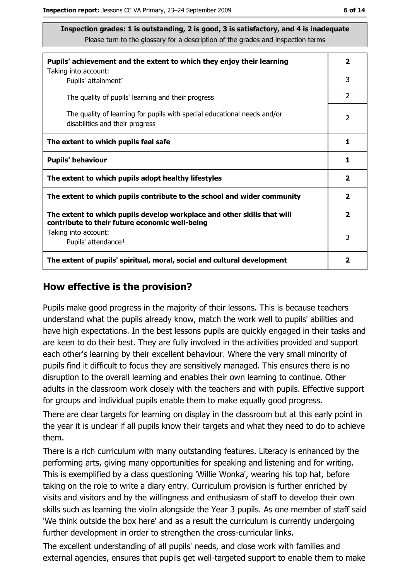| Pupils' achievement and the extent to which they enjoy their learning                                                     |                |  |  |
|---------------------------------------------------------------------------------------------------------------------------|----------------|--|--|
| Taking into account:<br>Pupils' attainment <sup>1</sup>                                                                   | 3              |  |  |
| The quality of pupils' learning and their progress                                                                        | $\overline{2}$ |  |  |
| The quality of learning for pupils with special educational needs and/or<br>disabilities and their progress               |                |  |  |
| The extent to which pupils feel safe                                                                                      |                |  |  |
| <b>Pupils' behaviour</b>                                                                                                  |                |  |  |
| The extent to which pupils adopt healthy lifestyles                                                                       |                |  |  |
| The extent to which pupils contribute to the school and wider community                                                   |                |  |  |
| The extent to which pupils develop workplace and other skills that will<br>contribute to their future economic well-being |                |  |  |
| Taking into account:<br>Pupils' attendance <sup>1</sup>                                                                   | 3              |  |  |
| The extent of pupils' spiritual, moral, social and cultural development                                                   |                |  |  |

#### How effective is the provision?

Pupils make good progress in the majority of their lessons. This is because teachers understand what the pupils already know, match the work well to pupils' abilities and have high expectations. In the best lessons pupils are quickly engaged in their tasks and are keen to do their best. They are fully involved in the activities provided and support each other's learning by their excellent behaviour. Where the very small minority of pupils find it difficult to focus they are sensitively managed. This ensures there is no disruption to the overall learning and enables their own learning to continue. Other adults in the classroom work closely with the teachers and with pupils. Effective support for groups and individual pupils enable them to make equally good progress.

There are clear targets for learning on display in the classroom but at this early point in the year it is unclear if all pupils know their targets and what they need to do to achieve them.

There is a rich curriculum with many outstanding features. Literacy is enhanced by the performing arts, giving many opportunities for speaking and listening and for writing. This is exemplified by a class questioning 'Willie Wonka', wearing his top hat, before taking on the role to write a diary entry. Curriculum provision is further enriched by visits and visitors and by the willingness and enthusiasm of staff to develop their own skills such as learning the violin alongside the Year 3 pupils. As one member of staff said 'We think outside the box here' and as a result the curriculum is currently undergoing further development in order to strengthen the cross-curricular links.

The excellent understanding of all pupils' needs, and close work with families and external agencies, ensures that pupils get well-targeted support to enable them to make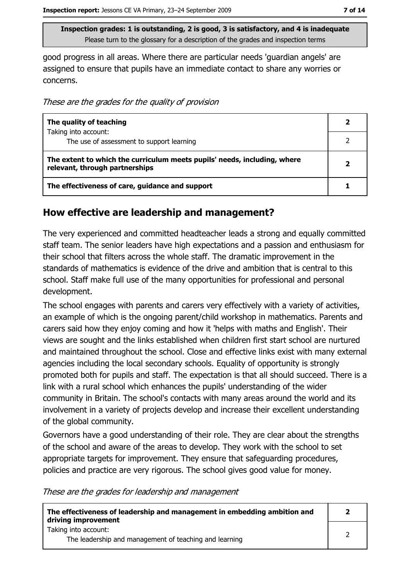good progress in all areas. Where there are particular needs 'guardian angels' are assigned to ensure that pupils have an immediate contact to share any worries or concerns.

These are the grades for the quality of provision

| The quality of teaching                                                                                    |  |
|------------------------------------------------------------------------------------------------------------|--|
| Taking into account:<br>The use of assessment to support learning                                          |  |
| The extent to which the curriculum meets pupils' needs, including, where<br>relevant, through partnerships |  |
| The effectiveness of care, guidance and support                                                            |  |

#### How effective are leadership and management?

The very experienced and committed headteacher leads a strong and equally committed staff team. The senior leaders have high expectations and a passion and enthusiasm for their school that filters across the whole staff. The dramatic improvement in the standards of mathematics is evidence of the drive and ambition that is central to this school. Staff make full use of the many opportunities for professional and personal development.

The school engages with parents and carers very effectively with a variety of activities, an example of which is the ongoing parent/child workshop in mathematics. Parents and carers said how they enjoy coming and how it 'helps with maths and English'. Their views are sought and the links established when children first start school are nurtured and maintained throughout the school. Close and effective links exist with many external agencies including the local secondary schools. Equality of opportunity is strongly promoted both for pupils and staff. The expectation is that all should succeed. There is a link with a rural school which enhances the pupils' understanding of the wider community in Britain. The school's contacts with many areas around the world and its involvement in a variety of projects develop and increase their excellent understanding of the global community.

Governors have a good understanding of their role. They are clear about the strengths of the school and aware of the areas to develop. They work with the school to set appropriate targets for improvement. They ensure that safeguarding procedures, policies and practice are very rigorous. The school gives good value for money.

These are the grades for leadership and management

| The effectiveness of leadership and management in embedding ambition and<br>driving improvement |  |
|-------------------------------------------------------------------------------------------------|--|
| Taking into account:<br>The leadership and management of teaching and learning                  |  |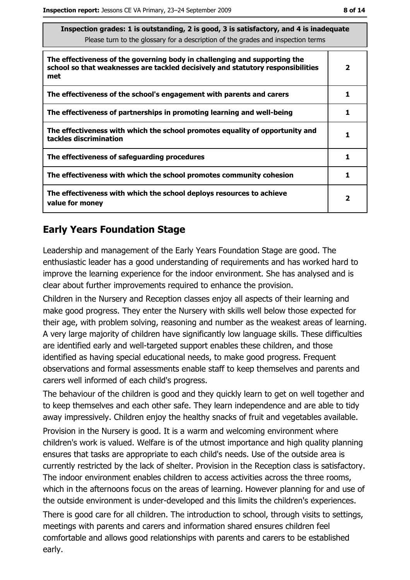| s sausiación y laucs. I is quistanting, z is good, s is sausiación y, any 4 is magguard<br>Please turn to the glossary for a description of the grades and inspection terms |              |
|-----------------------------------------------------------------------------------------------------------------------------------------------------------------------------|--------------|
| The effectiveness of the governing body in challenging and supporting the<br>school so that weaknesses are tackled decisively and statutory responsibilities<br>met         | 2            |
| The effectiveness of the school's engagement with parents and carers                                                                                                        | 1            |
| The effectiveness of partnerships in promoting learning and well-being                                                                                                      | 1            |
| The effectiveness with which the school promotes equality of opportunity and<br>tackles discrimination                                                                      | 1            |
| The effectiveness of safeguarding procedures                                                                                                                                | 1            |
| The effectiveness with which the school promotes community cohesion                                                                                                         | 1            |
| The effectiveness with which the school deploys resources to achieve<br>value for money                                                                                     | $\mathbf{2}$ |

 $\overline{\phantom{a}}$ 

## **Early Years Foundation Stage**

Leadership and management of the Early Years Foundation Stage are good. The enthusiastic leader has a good understanding of requirements and has worked hard to improve the learning experience for the indoor environment. She has analysed and is clear about further improvements required to enhance the provision.

Children in the Nursery and Reception classes enjoy all aspects of their learning and make good progress. They enter the Nursery with skills well below those expected for their age, with problem solving, reasoning and number as the weakest areas of learning. A very large majority of children have significantly low language skills. These difficulties are identified early and well-targeted support enables these children, and those identified as having special educational needs, to make good progress. Frequent observations and formal assessments enable staff to keep themselves and parents and carers well informed of each child's progress.

The behaviour of the children is good and they quickly learn to get on well together and to keep themselves and each other safe. They learn independence and are able to tidy away impressively. Children enjoy the healthy snacks of fruit and vegetables available. Provision in the Nursery is good. It is a warm and welcoming environment where children's work is valued. Welfare is of the utmost importance and high quality planning ensures that tasks are appropriate to each child's needs. Use of the outside area is currently restricted by the lack of shelter. Provision in the Reception class is satisfactory. The indoor environment enables children to access activities across the three rooms, which in the afternoons focus on the areas of learning. However planning for and use of the outside environment is under-developed and this limits the children's experiences.

There is good care for all children. The introduction to school, through visits to settings, meetings with parents and carers and information shared ensures children feel comfortable and allows good relationships with parents and carers to be established early.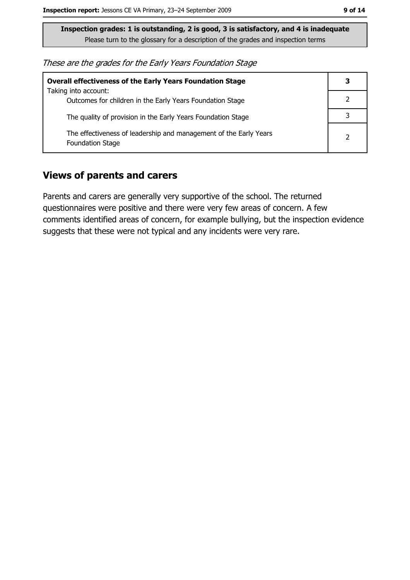These are the grades for the Early Years Foundation Stage

| <b>Overall effectiveness of the Early Years Foundation Stage</b>                             | 3             |
|----------------------------------------------------------------------------------------------|---------------|
| Taking into account:<br>Outcomes for children in the Early Years Foundation Stage            |               |
| The quality of provision in the Early Years Foundation Stage                                 |               |
| The effectiveness of leadership and management of the Early Years<br><b>Foundation Stage</b> | $\mathcal{P}$ |

#### **Views of parents and carers**

Parents and carers are generally very supportive of the school. The returned questionnaires were positive and there were very few areas of concern. A few comments identified areas of concern, for example bullying, but the inspection evidence suggests that these were not typical and any incidents were very rare.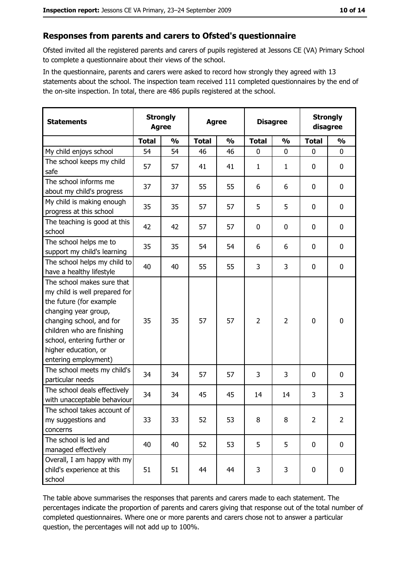#### Responses from parents and carers to Ofsted's questionnaire

Ofsted invited all the registered parents and carers of pupils registered at Jessons CE (VA) Primary School to complete a questionnaire about their views of the school.

In the questionnaire, parents and carers were asked to record how strongly they agreed with 13 statements about the school. The inspection team received 111 completed questionnaires by the end of the on-site inspection. In total, there are 486 pupils registered at the school.

| <b>Statements</b>                                                                                                                                                                                                                                       | <b>Strongly</b><br><b>Agree</b> |               | <b>Agree</b> |               |                | <b>Disagree</b> |                | <b>Strongly</b><br>disagree |
|---------------------------------------------------------------------------------------------------------------------------------------------------------------------------------------------------------------------------------------------------------|---------------------------------|---------------|--------------|---------------|----------------|-----------------|----------------|-----------------------------|
|                                                                                                                                                                                                                                                         | <b>Total</b>                    | $\frac{0}{0}$ | <b>Total</b> | $\frac{0}{0}$ | <b>Total</b>   | $\frac{0}{0}$   | <b>Total</b>   | $\frac{0}{0}$               |
| My child enjoys school                                                                                                                                                                                                                                  | 54                              | 54            | 46           | 46            | $\mathbf 0$    | 0               | $\mathbf 0$    | $\mathbf 0$                 |
| The school keeps my child<br>safe                                                                                                                                                                                                                       | 57                              | 57            | 41           | 41            | $\mathbf{1}$   | 1               | 0              | $\mathbf 0$                 |
| The school informs me<br>about my child's progress                                                                                                                                                                                                      | 37                              | 37            | 55           | 55            | 6              | 6               | 0              | 0                           |
| My child is making enough<br>progress at this school                                                                                                                                                                                                    | 35                              | 35            | 57           | 57            | 5              | 5               | 0              | 0                           |
| The teaching is good at this<br>school                                                                                                                                                                                                                  | 42                              | 42            | 57           | 57            | $\mathbf 0$    | 0               | 0              | $\mathbf 0$                 |
| The school helps me to<br>support my child's learning                                                                                                                                                                                                   | 35                              | 35            | 54           | 54            | 6              | 6               | 0              | $\mathbf 0$                 |
| The school helps my child to<br>have a healthy lifestyle                                                                                                                                                                                                | 40                              | 40            | 55           | 55            | 3              | 3               | $\mathbf 0$    | $\mathbf 0$                 |
| The school makes sure that<br>my child is well prepared for<br>the future (for example<br>changing year group,<br>changing school, and for<br>children who are finishing<br>school, entering further or<br>higher education, or<br>entering employment) | 35                              | 35            | 57           | 57            | $\overline{2}$ | $\overline{2}$  | 0              | $\mathbf 0$                 |
| The school meets my child's<br>particular needs                                                                                                                                                                                                         | 34                              | 34            | 57           | 57            | 3              | 3               | 0              | $\bf{0}$                    |
| The school deals effectively<br>with unacceptable behaviour                                                                                                                                                                                             | 34                              | 34            | 45           | 45            | 14             | 14              | 3              | 3                           |
| The school takes account of<br>my suggestions and<br>concerns                                                                                                                                                                                           | 33                              | 33            | 52           | 53            | 8              | 8               | $\overline{2}$ | $\overline{2}$              |
| The school is led and<br>managed effectively                                                                                                                                                                                                            | 40                              | 40            | 52           | 53            | 5              | 5               | $\mathbf 0$    | $\mathbf 0$                 |
| Overall, I am happy with my<br>child's experience at this<br>school                                                                                                                                                                                     | 51                              | 51            | 44           | 44            | 3              | 3               | 0              | 0                           |

The table above summarises the responses that parents and carers made to each statement. The percentages indicate the proportion of parents and carers giving that response out of the total number of completed questionnaires. Where one or more parents and carers chose not to answer a particular question, the percentages will not add up to 100%.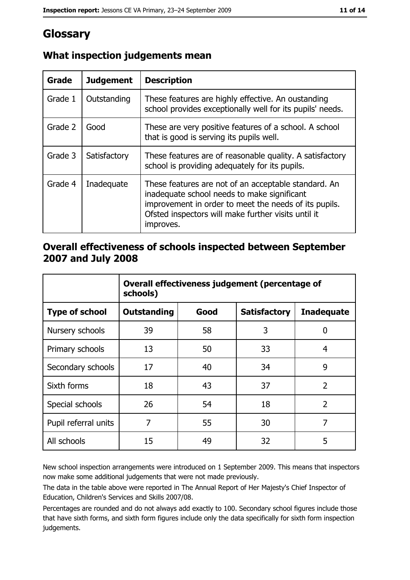# Glossary

| Grade   | <b>Judgement</b> | <b>Description</b>                                                                                                                                                                                                               |
|---------|------------------|----------------------------------------------------------------------------------------------------------------------------------------------------------------------------------------------------------------------------------|
| Grade 1 | Outstanding      | These features are highly effective. An oustanding<br>school provides exceptionally well for its pupils' needs.                                                                                                                  |
| Grade 2 | Good             | These are very positive features of a school. A school<br>that is good is serving its pupils well.                                                                                                                               |
| Grade 3 | Satisfactory     | These features are of reasonable quality. A satisfactory<br>school is providing adequately for its pupils.                                                                                                                       |
| Grade 4 | Inadequate       | These features are not of an acceptable standard. An<br>inadequate school needs to make significant<br>improvement in order to meet the needs of its pupils.<br>Ofsted inspectors will make further visits until it<br>improves. |

## What inspection judgements mean

#### Overall effectiveness of schools inspected between September 2007 and July 2008

|                       | Overall effectiveness judgement (percentage of<br>schools) |      |                     |                   |  |
|-----------------------|------------------------------------------------------------|------|---------------------|-------------------|--|
| <b>Type of school</b> | <b>Outstanding</b>                                         | Good | <b>Satisfactory</b> | <b>Inadequate</b> |  |
| Nursery schools       | 39                                                         | 58   | 3                   | 0                 |  |
| Primary schools       | 13                                                         | 50   | 33                  | 4                 |  |
| Secondary schools     | 17                                                         | 40   | 34                  | 9                 |  |
| Sixth forms           | 18                                                         | 43   | 37                  | $\overline{2}$    |  |
| Special schools       | 26                                                         | 54   | 18                  | $\overline{2}$    |  |
| Pupil referral units  | 7                                                          | 55   | 30                  | 7                 |  |
| All schools           | 15                                                         | 49   | 32                  | 5                 |  |

New school inspection arrangements were introduced on 1 September 2009. This means that inspectors now make some additional judgements that were not made previously.

The data in the table above were reported in The Annual Report of Her Majesty's Chief Inspector of Education, Children's Services and Skills 2007/08.

Percentages are rounded and do not always add exactly to 100. Secondary school figures include those that have sixth forms, and sixth form figures include only the data specifically for sixth form inspection judgements.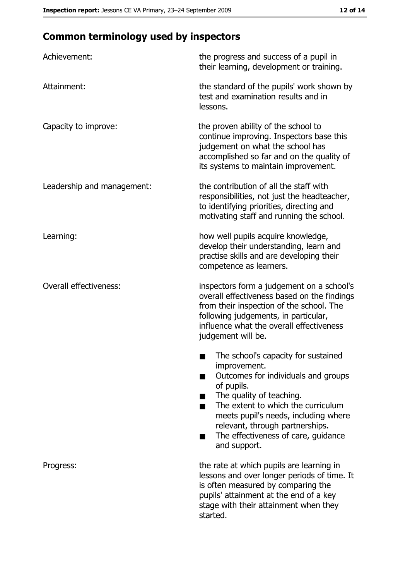# **Common terminology used by inspectors**

| Achievement:                  | the progress and success of a pupil in<br>their learning, development or training.                                                                                                                                                                                                                           |
|-------------------------------|--------------------------------------------------------------------------------------------------------------------------------------------------------------------------------------------------------------------------------------------------------------------------------------------------------------|
| Attainment:                   | the standard of the pupils' work shown by<br>test and examination results and in<br>lessons.                                                                                                                                                                                                                 |
| Capacity to improve:          | the proven ability of the school to<br>continue improving. Inspectors base this<br>judgement on what the school has<br>accomplished so far and on the quality of<br>its systems to maintain improvement.                                                                                                     |
| Leadership and management:    | the contribution of all the staff with<br>responsibilities, not just the headteacher,<br>to identifying priorities, directing and<br>motivating staff and running the school.                                                                                                                                |
| Learning:                     | how well pupils acquire knowledge,<br>develop their understanding, learn and<br>practise skills and are developing their<br>competence as learners.                                                                                                                                                          |
| <b>Overall effectiveness:</b> | inspectors form a judgement on a school's<br>overall effectiveness based on the findings<br>from their inspection of the school. The<br>following judgements, in particular,<br>influence what the overall effectiveness<br>judgement will be.                                                               |
|                               | The school's capacity for sustained<br>improvement.<br>Outcomes for individuals and groups<br>of pupils.<br>The quality of teaching.<br>The extent to which the curriculum<br>meets pupil's needs, including where<br>relevant, through partnerships.<br>The effectiveness of care, guidance<br>and support. |
| Progress:                     | the rate at which pupils are learning in<br>lessons and over longer periods of time. It<br>is often measured by comparing the<br>pupils' attainment at the end of a key<br>stage with their attainment when they<br>started.                                                                                 |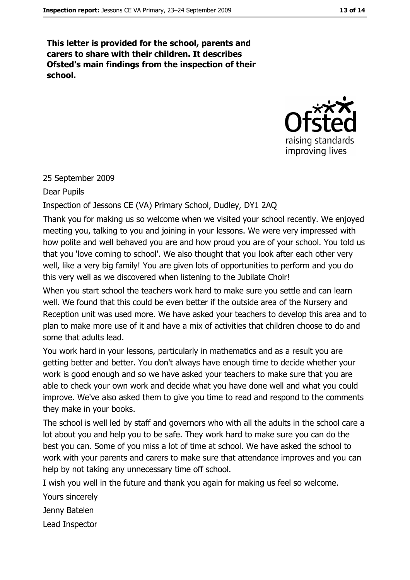This letter is provided for the school, parents and carers to share with their children. It describes Ofsted's main findings from the inspection of their school.



#### 25 September 2009

#### Dear Pupils

## Inspection of Jessons CE (VA) Primary School, Dudley, DY1 2AQ

Thank you for making us so welcome when we visited your school recently. We enjoyed meeting you, talking to you and joining in your lessons. We were very impressed with how polite and well behaved you are and how proud you are of your school. You told us that you 'love coming to school'. We also thought that you look after each other very well, like a very big family! You are given lots of opportunities to perform and you do this very well as we discovered when listening to the Jubilate Choir!

When you start school the teachers work hard to make sure you settle and can learn well. We found that this could be even better if the outside area of the Nursery and Reception unit was used more. We have asked your teachers to develop this area and to plan to make more use of it and have a mix of activities that children choose to do and some that adults lead.

You work hard in your lessons, particularly in mathematics and as a result you are getting better and better. You don't always have enough time to decide whether your work is good enough and so we have asked your teachers to make sure that you are able to check your own work and decide what you have done well and what you could improve. We've also asked them to give you time to read and respond to the comments they make in your books.

The school is well led by staff and governors who with all the adults in the school care a lot about you and help you to be safe. They work hard to make sure you can do the best you can. Some of you miss a lot of time at school. We have asked the school to work with your parents and carers to make sure that attendance improves and you can help by not taking any unnecessary time off school.

I wish you well in the future and thank you again for making us feel so welcome.

Yours sincerely

Jenny Batelen

Lead Inspector